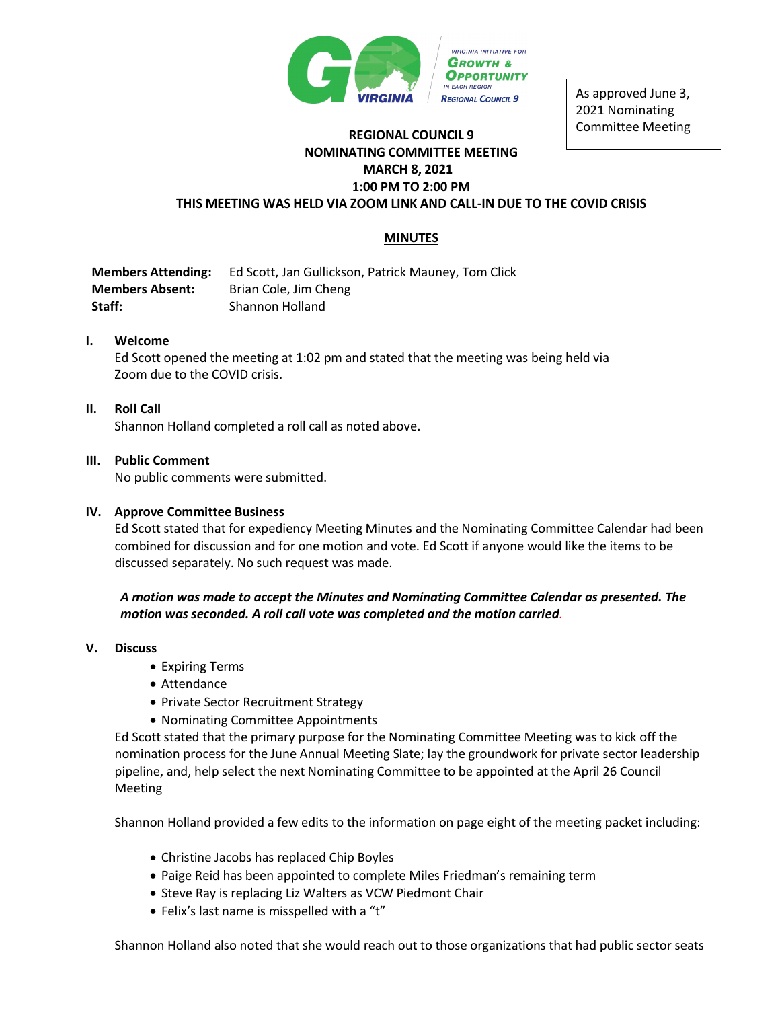

As approved June 3, 2021 Nominating Committee Meeting

# **REGIONAL COUNCIL 9 NOMINATING COMMITTEE MEETING MARCH 8, 2021 1:00 PM TO 2:00 PM THIS MEETING WAS HELD VIA ZOOM LINK AND CALL-IN DUE TO THE COVID CRISIS**

# **MINUTES**

**Members Attending:** Ed Scott, Jan Gullickson, Patrick Mauney, Tom Click **Members Absent:** Brian Cole, Jim Cheng **Staff:** Shannon Holland

## **I. Welcome**

Ed Scott opened the meeting at 1:02 pm and stated that the meeting was being held via Zoom due to the COVID crisis.

## **II. Roll Call**

Shannon Holland completed a roll call as noted above.

## **III. Public Comment**

No public comments were submitted.

#### **IV. Approve Committee Business**

Ed Scott stated that for expediency Meeting Minutes and the Nominating Committee Calendar had been combined for discussion and for one motion and vote. Ed Scott if anyone would like the items to be discussed separately. No such request was made.

*A motion was made to accept the Minutes and Nominating Committee Calendar as presented. The motion was seconded. A roll call vote was completed and the motion carried.* 

#### **V. Discuss**

- Expiring Terms
- Attendance
- Private Sector Recruitment Strategy
- Nominating Committee Appointments

Ed Scott stated that the primary purpose for the Nominating Committee Meeting was to kick off the nomination process for the June Annual Meeting Slate; lay the groundwork for private sector leadership pipeline, and, help select the next Nominating Committee to be appointed at the April 26 Council Meeting

Shannon Holland provided a few edits to the information on page eight of the meeting packet including:

- Christine Jacobs has replaced Chip Boyles
- Paige Reid has been appointed to complete Miles Friedman's remaining term
- Steve Ray is replacing Liz Walters as VCW Piedmont Chair
- Felix's last name is misspelled with a "t"

Shannon Holland also noted that she would reach out to those organizations that had public sector seats